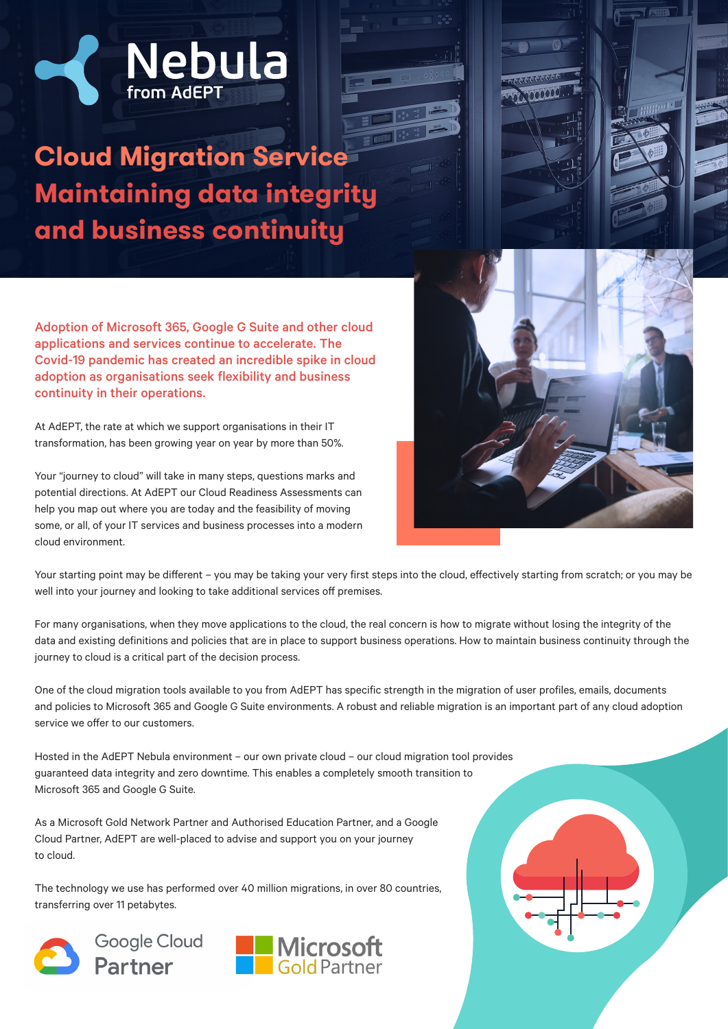

**Cloud Migration Service Maintaining data integrity and business continuity**



Adoption of Microsoft 365, Google G Suite and other cloud applications and services continue to accelerate. The Covid-19 pandemic has created an incredible spike in cloud adoption as organisations seek flexibility and business continuity in their operations.

At AdEPT, the rate at which we support organisations in their IT transformation, has been growing year on year by more than 50%.

Your "journey to cloud" will take in many steps, questions marks and potential directions. At AdEPT our Cloud Readiness Assessments can help you map out where you are today and the feasibility of moving some, or all, of your IT services and business processes into a modern cloud environment.

Your starting point may be different – you may be taking your very first steps into the cloud, effectively starting from scratch; or you may be well into your journey and looking to take additional services off premises.

For many organisations, when they move applications to the cloud, the real concern is how to migrate without losing the integrity of the data and existing definitions and policies that are in place to support business operations. How to maintain business continuity through the journey to cloud is a critical part of the decision process.

One of the cloud migration tools available to you from AdEPT has specific strength in the migration of user profiles, emails, documents and policies to Microsoft 365 and Google G Suite environments. A robust and reliable migration is an important part of any cloud adoption service we offer to our customers.

Hosted in the AdEPT Nebula environment – our own private cloud – our cloud migration tool provides guaranteed data integrity and zero downtime. This enables a completely smooth transition to Microsoft 365 and Google G Suite.

As a Microsoft Gold Network Partner and Authorised Education Partner, and a Google Cloud Partner, AdEPT are well-placed to advise and support you on your journey to cloud.

The technology we use has performed over 40 million migrations, in over 80 countries, transferring over 11 petabytes.